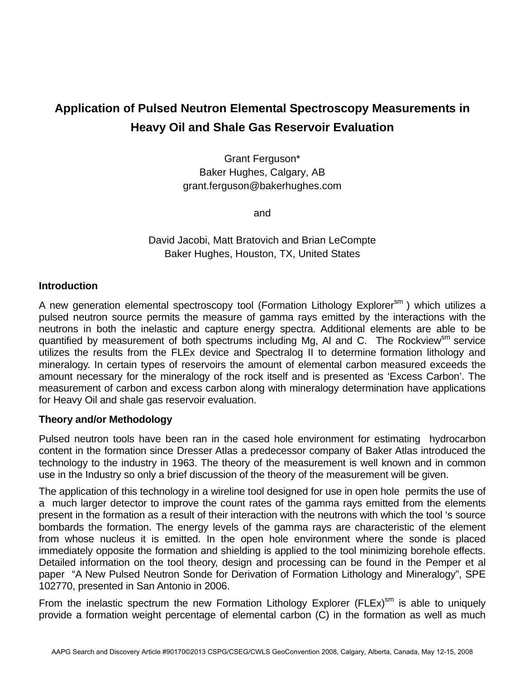# **Application of Pulsed Neutron Elemental Spectroscopy Measurements in Heavy Oil and Shale Gas Reservoir Evaluation**

Grant Ferguson\* Baker Hughes, Calgary, AB grant.ferguson@bakerhughes.com

and

David Jacobi, Matt Bratovich and Brian LeCompte Baker Hughes, Houston, TX, United States

## **Introduction**

A new generation elemental spectroscopy tool (Formation Lithology Explorer<sup>sm</sup>) which utilizes a pulsed neutron source permits the measure of gamma rays emitted by the interactions with the neutrons in both the inelastic and capture energy spectra. Additional elements are able to be quantified by measurement of both spectrums including Mg, AI and C. The Rockview<sup>sm</sup> service utilizes the results from the FLEx device and Spectralog II to determine formation lithology and mineralogy. In certain types of reservoirs the amount of elemental carbon measured exceeds the amount necessary for the mineralogy of the rock itself and is presented as 'Excess Carbon'. The measurement of carbon and excess carbon along with mineralogy determination have applications for Heavy Oil and shale gas reservoir evaluation.

### **Theory and/or Methodology**

Pulsed neutron tools have been ran in the cased hole environment for estimating hydrocarbon content in the formation since Dresser Atlas a predecessor company of Baker Atlas introduced the technology to the industry in 1963. The theory of the measurement is well known and in common use in the Industry so only a brief discussion of the theory of the measurement will be given.

The application of this technology in a wireline tool designed for use in open hole permits the use of a much larger detector to improve the count rates of the gamma rays emitted from the elements present in the formation as a result of their interaction with the neutrons with which the tool 's source bombards the formation. The energy levels of the gamma rays are characteristic of the element from whose nucleus it is emitted. In the open hole environment where the sonde is placed immediately opposite the formation and shielding is applied to the tool minimizing borehole effects. Detailed information on the tool theory, design and processing can be found in the Pemper et al paper "A New Pulsed Neutron Sonde for Derivation of Formation Lithology and Mineralogy", SPE 102770, presented in San Antonio in 2006.

From the inelastic spectrum the new Formation Lithology Explorer (FLEx) $\text{sm}$  is able to uniquely provide a formation weight percentage of elemental carbon (C) in the formation as well as much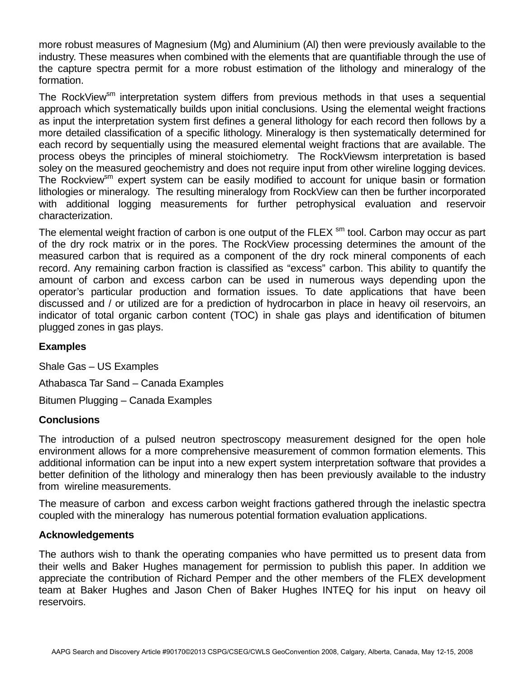more robust measures of Magnesium (Mg) and Aluminium (Al) then were previously available to the industry. These measures when combined with the elements that are quantifiable through the use of the capture spectra permit for a more robust estimation of the lithology and mineralogy of the formation.

The RockView<sup>sm</sup> interpretation system differs from previous methods in that uses a sequential approach which systematically builds upon initial conclusions. Using the elemental weight fractions as input the interpretation system first defines a general lithology for each record then follows by a more detailed classification of a specific lithology. Mineralogy is then systematically determined for each record by sequentially using the measured elemental weight fractions that are available. The process obeys the principles of mineral stoichiometry. The RockViewsm interpretation is based soley on the measured geochemistry and does not require input from other wireline logging devices. The Rockview<sup>sm</sup> expert system can be easily modified to account for unique basin or formation lithologies or mineralogy. The resulting mineralogy from RockView can then be further incorporated with additional logging measurements for further petrophysical evaluation and reservoir characterization.

The elemental weight fraction of carbon is one output of the FLEX  $\text{sm}$  tool. Carbon may occur as part of the dry rock matrix or in the pores. The RockView processing determines the amount of the measured carbon that is required as a component of the dry rock mineral components of each record. Any remaining carbon fraction is classified as "excess" carbon. This ability to quantify the amount of carbon and excess carbon can be used in numerous ways depending upon the operator's particular production and formation issues. To date applications that have been discussed and / or utilized are for a prediction of hydrocarbon in place in heavy oil reservoirs, an indicator of total organic carbon content (TOC) in shale gas plays and identification of bitumen plugged zones in gas plays.

# **Examples**

Shale Gas – US Examples

Athabasca Tar Sand – Canada Examples

Bitumen Plugging – Canada Examples

# **Conclusions**

The introduction of a pulsed neutron spectroscopy measurement designed for the open hole environment allows for a more comprehensive measurement of common formation elements. This additional information can be input into a new expert system interpretation software that provides a better definition of the lithology and mineralogy then has been previously available to the industry from wireline measurements.

The measure of carbon and excess carbon weight fractions gathered through the inelastic spectra coupled with the mineralogy has numerous potential formation evaluation applications.

### **Acknowledgements**

The authors wish to thank the operating companies who have permitted us to present data from their wells and Baker Hughes management for permission to publish this paper. In addition we appreciate the contribution of Richard Pemper and the other members of the FLEX development team at Baker Hughes and Jason Chen of Baker Hughes INTEQ for his input on heavy oil reservoirs.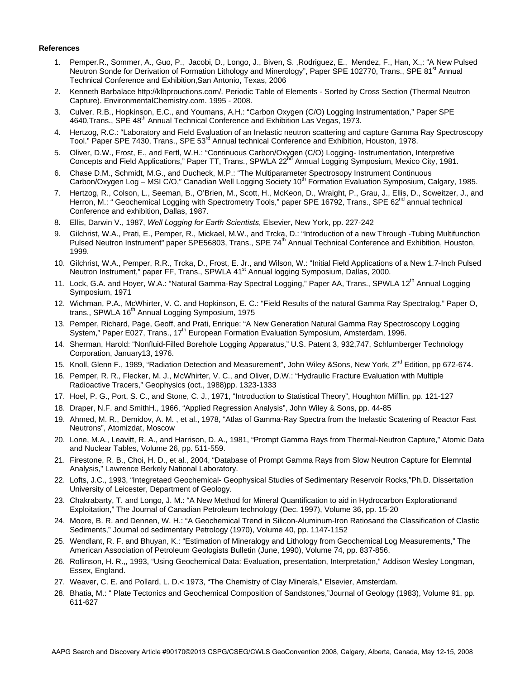#### **References**

- 1. Pemper.R., Sommer, A., Guo, P., Jacobi, D., Longo, J., Biven, S. ,Rodriguez, E., Mendez, F., Han, X.,: "A New Pulsed Neutron Sonde for Derivation of Formation Lithology and Minerology", Paper SPE 102770, Trans., SPE 81<sup>st</sup> Annual Technical Conference and Exhibition,San Antonio, Texas, 2006
- 2. Kenneth Barbalace http://klbprouctions.com/. Periodic Table of Elements Sorted by Cross Section (Thermal Neutron Capture). EnvironmentalChemistry.com. 1995 - 2008.
- 3. Culver, R.B., Hopkinson, E.C., and Youmans, A.H.: "Carbon Oxygen (C/O) Logging Instrumentation," Paper SPE 4640, Trans., SPE 48<sup>th</sup> Annual Technical Conference and Exhibition Las Vegas, 1973.
- 4. Hertzog, R.C.: "Laboratory and Field Evaluation of an Inelastic neutron scattering and capture Gamma Ray Spectroscopy Tool." Paper SPE 7430, Trans., SPE 53<sup>rd</sup> Annual technical Conference and Exhibition, Houston, 1978.
- 5. Oliver, D.W., Frost, E., and Fertl, W.H.: "Continuous Carbon/Oxygen (C/O) Logging- Instrumentation, Interpretive Concepts and Field Applications," Paper TT, Trans., SPWLA 22<sup>nd</sup> Annual Logging Symposium, Mexico City, 1981.
- 6. Chase D.M., Schmidt, M.G., and Ducheck, M.P.: "The Multiparameter Spectrosopy Instrument Continuous Carbon/Oxygen Log - MSI C/O," Canadian Well Logging Society 10<sup>th</sup> Formation Evaluation Symposium, Calgary, 1985.
- 7. Hertzog, R., Colson, L., Seeman, B., O'Brien, M., Scott, H., McKeon, D., Wraight, P., Grau, J., Ellis, D., Scweitzer, J., and Herron, M.: " Geochemical Logging with Spectrometry Tools," paper SPE 16792, Trans., SPE 62<sup>nd</sup> annual technical Conference and exhibition, Dallas, 1987.
- 8. Ellis, Darwin V., 1987, *Well Logging for Earth Scientists*, Elsevier, New York, pp. 227-242
- 9. Gilchrist, W.A., Prati, E., Pemper, R., Mickael, M.W., and Trcka, D.: "Introduction of a new Through -Tubing Multifunction Pulsed Neutron Instrument" paper SPE56803, Trans., SPE 74<sup>th</sup> Annual Technical Conference and Exhibition, Houston, 1999.
- 10. Gilchrist, W.A., Pemper, R.R., Trcka, D., Frost, E. Jr., and Wilson, W.: "Initial Field Applications of a New 1.7-Inch Pulsed Neutron Instrument," paper FF, Trans., SPWLA 41<sup>st</sup> Annual logging Symposium, Dallas, 2000.
- 11. Lock, G.A. and Hoyer, W.A.: "Natural Gamma-Ray Spectral Logging," Paper AA, Trans., SPWLA 12<sup>th</sup> Annual Logging Symposium, 1971
- 12. Wichman, P.A., McWhirter, V. C. and Hopkinson, E. C.: "Field Results of the natural Gamma Ray Spectralog." Paper O, trans., SPWLA 16<sup>th</sup> Annual Logging Symposium, 1975
- 13. Pemper, Richard, Page, Geoff, and Prati, Enrique: "A New Generation Natural Gamma Ray Spectroscopy Logging System," Paper E027, Trans., 17<sup>th</sup> European Formation Evaluation Symposium, Amsterdam, 1996.
- 14. Sherman, Harold: "Nonfluid-Filled Borehole Logging Apparatus," U.S. Patent 3, 932,747, Schlumberger Technology Corporation, January13, 1976.
- 15. Knoll, Glenn F., 1989, "Radiation Detection and Measurement", John Wiley &Sons, New York, 2<sup>nd</sup> Edition, pp 672-674.
- 16. Pemper, R. R., Flecker, M. J., McWhirter, V. C., and Oliver, D.W.: "Hydraulic Fracture Evaluation with Multiple Radioactive Tracers," Geophysics (oct., 1988)pp. 1323-1333
- 17. Hoel, P. G., Port, S. C., and Stone, C. J., 1971, "Introduction to Statistical Theory", Houghton Mifflin, pp. 121-127
- 18. Draper, N.F. and SmithH., 1966, "Applied Regression Analysis", John Wiley & Sons, pp. 44-85
- 19. Ahmed, M. R., Demidov, A. M. , et al., 1978, "Atlas of Gamma-Ray Spectra from the Inelastic Scatering of Reactor Fast Neutrons", Atomizdat, Moscow
- 20. Lone, M.A., Leavitt, R. A., and Harrison, D. A., 1981, "Prompt Gamma Rays from Thermal-Neutron Capture," Atomic Data and Nuclear Tables, Volume 26, pp. 511-559.
- 21. Firestone, R. B., Choi, H. D., et al., 2004, "Database of Prompt Gamma Rays from Slow Neutron Capture for Elemntal Analysis," Lawrence Berkely National Laboratory.
- 22. Lofts, J.C., 1993, "Integretaed Geochemical- Geophysical Studies of Sedimentary Reservoir Rocks,"Ph.D. Dissertation University of Leicester, Department of Geology.
- 23. Chakrabarty, T. and Longo, J. M.: "A New Method for Mineral Quantification to aid in Hydrocarbon Explorationand Exploitation," The Journal of Canadian Petroleum technology (Dec. 1997), Volume 36, pp. 15-20
- 24. Moore, B. R. and Dennen, W. H.: "A Geochemical Trend in Silicon-Aluminum-Iron Ratiosand the Classification of Clastic Sediments," Journal od sedimentary Petrology (1970), Volume 40, pp. 1147-1152
- 25. Wendlant, R. F. and Bhuyan, K.: "Estimation of Mineralogy and Lithology from Geochemical Log Measurements," The American Association of Petroleum Geologists Bulletin (June, 1990), Volume 74, pp. 837-856.
- 26. Rollinson, H. R.,, 1993, "Using Geochemical Data: Evaluation, presentation, Interpretation," Addison Wesley Longman, Essex, England.
- 27. Weaver, C. E. and Pollard, L. D.< 1973, "The Chemistry of Clay Minerals," Elsevier, Amsterdam.
- 28. Bhatia, M.: " Plate Tectonics and Geochemical Composition of Sandstones,"Journal of Geology (1983), Volume 91, pp. 611-627